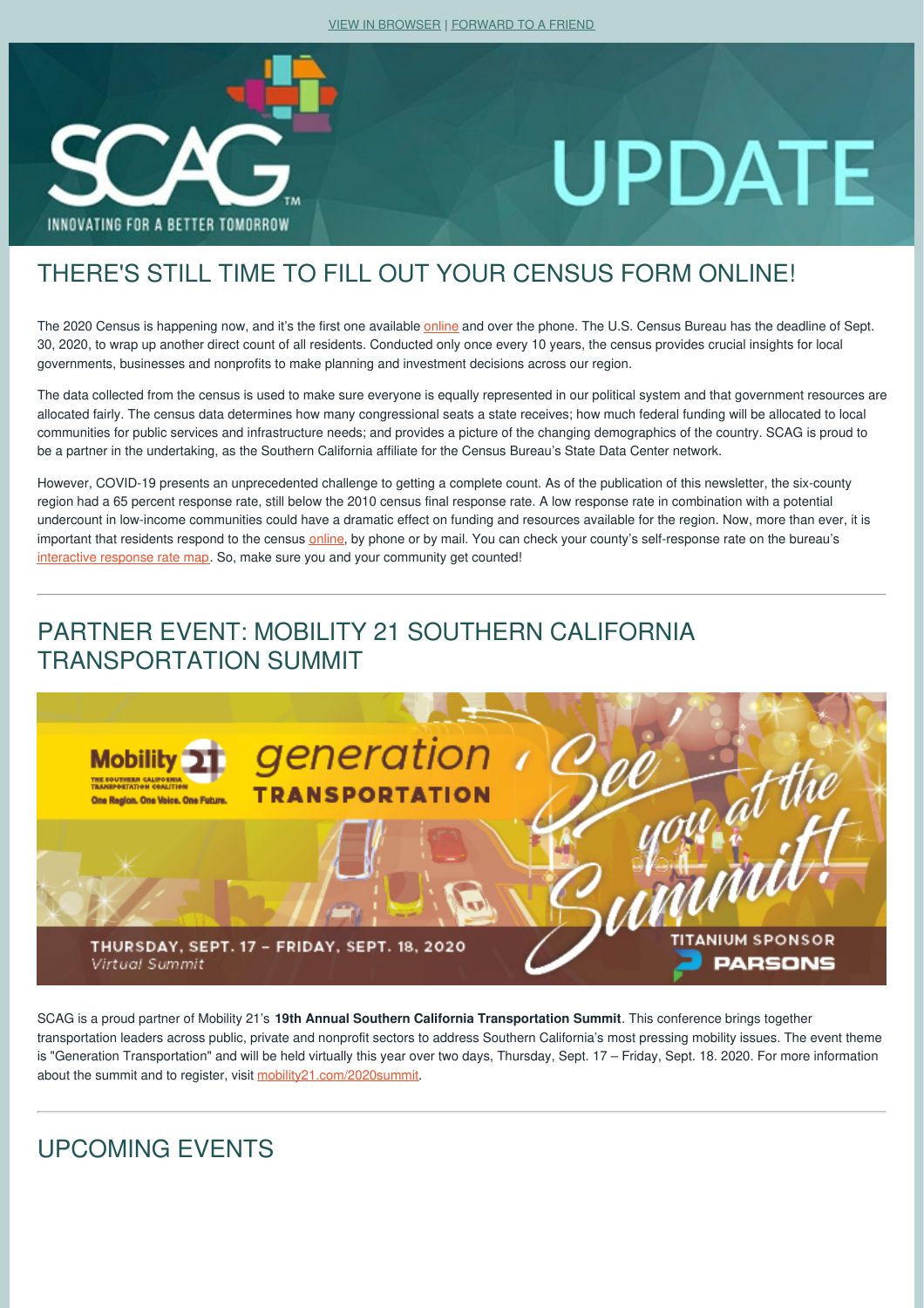

# **UPDATE**

## THERE'S STILL TIME TO FILL OUT YOUR CENSUS FORM ONLINE!

The 2020 Census is happening now, and it's the first one available [online](https://scag.createsend1.com/t/r-l-jkktjtht-khdytybtl-r/) and over the phone. The U.S. Census Bureau has the deadline of Sept. 30, 2020, to wrap up another direct count of all residents. Conducted only once every 10 years, the census provides crucial insights for local governments, businesses and nonprofits to make planning and investment decisions across our region.

The data collected from the census is used to make sure everyone is equally represented in our political system and that government resources are allocated fairly. The census data determines how many congressional seats a state receives; how much federal funding will be allocated to local communities for public services and infrastructure needs; and provides a picture of the changing demographics of the country. SCAG is proud to be a partner in the undertaking, as the Southern California affiliate for the Census Bureau's State Data Center network.

However, COVID-19 presents an unprecedented challenge to getting a complete count. As of the publication of this newsletter, the six-county region had a 65 percent response rate, still below the 2010 census final response rate. A low response rate in combination with a potential undercount in low-income communities could have a dramatic effect on funding and resources available for the region. Now, more than ever, it is important that residents respond to the census [online](https://scag.createsend1.com/t/r-l-jkktjtht-khdytybtl-y/), by phone or by mail. You can check your county's self-response rate on the bureau's [interactive](https://scag.createsend1.com/t/r-l-jkktjtht-khdytybtl-j/) response rate map. So, make sure you and your community get counted!

## PARTNER EVENT: MOBILITY 21 SOUTHERN CALIFORNIA TRANSPORTATION SUMMIT



SCAG is a proud partner of Mobility 21's **19th Annual Southern California Transportation Summit**. This conference brings together transportation leaders across public, private and nonprofit sectors to address Southern California's most pressing mobility issues. The event theme is "Generation Transportation" and will be held virtually this year over two days, Thursday, Sept. 17 – Friday, Sept. 18. 2020. For more information about the summit and to register, visit [mobility21.com/2020summit](https://scag.createsend1.com/t/r-l-jkktjtht-khdytybtl-i/).

## UPCOMING EVENTS